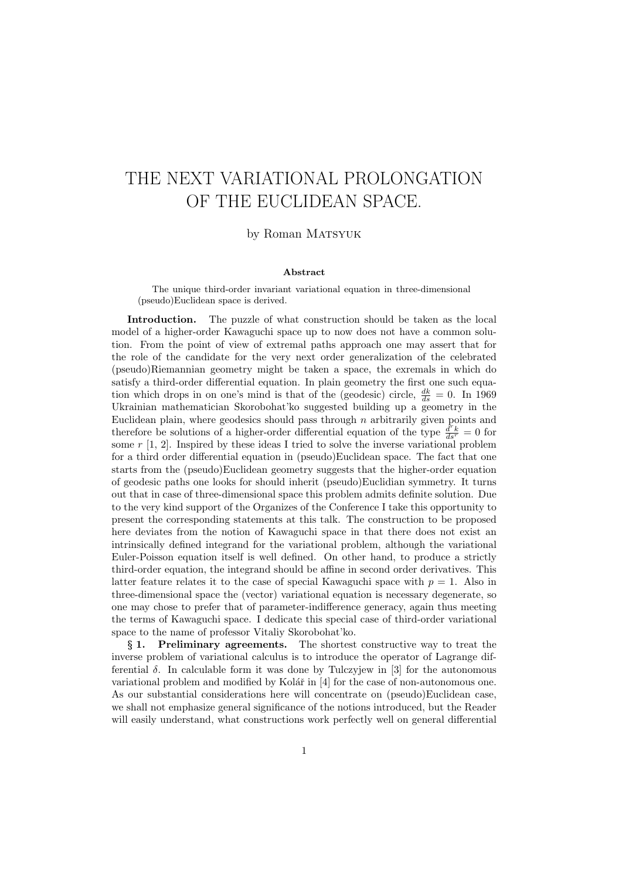## THE NEXT VARIATIONAL PROLONGATION OF THE EUCLIDEAN SPACE.

by Roman MATSYUK

## Abstract

The unique third-order invariant variational equation in three-dimensional (pseudo)Euclidean space is derived.

Introduction. The puzzle of what construction should be taken as the local model of a higher-order Kawaguchi space up to now does not have a common solution. From the point of view of extremal paths approach one may assert that for the role of the candidate for the very next order generalization of the celebrated (pseudo)Riemannian geometry might be taken a space, the exremals in which do satisfy a third-order differential equation. In plain geometry the first one such equation which drops in on one's mind is that of the (geodesic) circle,  $\frac{dk}{ds} = 0$ . In 1969 Ukrainian mathematician Skorobohat'ko suggested building up a geometry in the Euclidean plain, where geodesics should pass through  $n$  arbitrarily given points and therefore be solutions of a higher-order differential equation of the type  $\frac{d^r k}{ds^r} = 0$  for some  $r$  [1, 2]. Inspired by these ideas I tried to solve the inverse variational problem for a third order differential equation in (pseudo)Euclidean space. The fact that one starts from the (pseudo)Euclidean geometry suggests that the higher-order equation of geodesic paths one looks for should inherit (pseudo)Euclidian symmetry. It turns out that in case of three-dimensional space this problem admits definite solution. Due to the very kind support of the Organizes of the Conference I take this opportunity to present the corresponding statements at this talk. The construction to be proposed here deviates from the notion of Kawaguchi space in that there does not exist an intrinsically defined integrand for the variational problem, although the variational Euler-Poisson equation itself is well defined. On other hand, to produce a strictly third-order equation, the integrand should be affine in second order derivatives. This latter feature relates it to the case of special Kawaguchi space with  $p = 1$ . Also in three-dimensional space the (vector) variational equation is necessary degenerate, so one may chose to prefer that of parameter-indifference generacy, again thus meeting the terms of Kawaguchi space. I dedicate this special case of third-order variational space to the name of professor Vitaliy Skorobohat'ko.

§ 1. Preliminary agreements. The shortest constructive way to treat the inverse problem of variational calculus is to introduce the operator of Lagrange differential δ. In calculable form it was done by Tulczyjew in [3] for the autonomous variational problem and modified by Kolář in  $[4]$  for the case of non-autonomous one. As our substantial considerations here will concentrate on (pseudo)Euclidean case, we shall not emphasize general significance of the notions introduced, but the Reader will easily understand, what constructions work perfectly well on general differential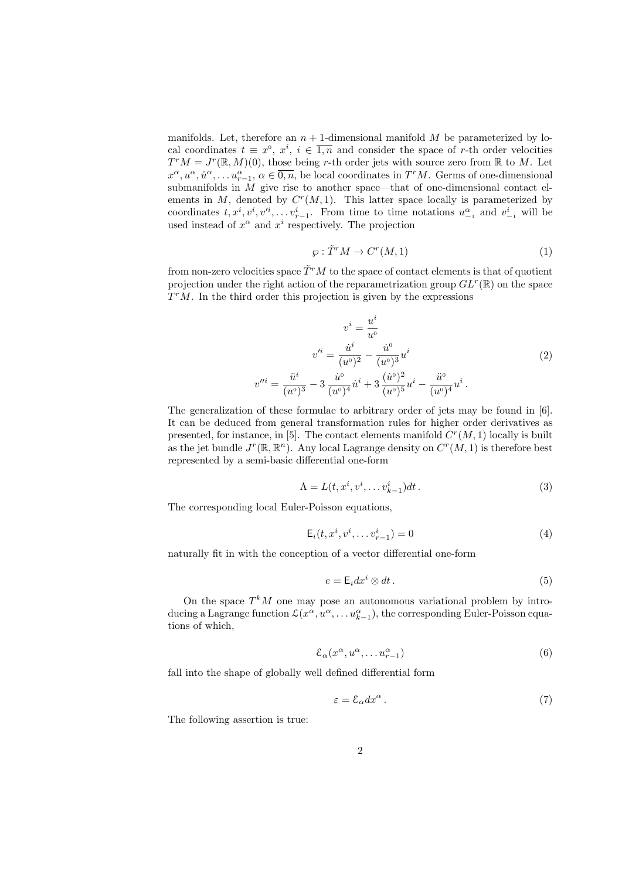manifolds. Let, therefore an  $n + 1$ -dimensional manifold M be parameterized by local coordinates  $t \equiv x^0, x^i, i \in \overline{1,n}$  and consider the space of r-th order velocities  $T^{r}M = J^{r}(\mathbb{R}, M)(0)$ , those being r-th order jets with source zero from  $\mathbb{R}$  to M. Let  $x^{\alpha}, u^{\alpha}, \dot{u}^{\alpha}, \ldots u_{r-1}^{\alpha}, \alpha \in \overline{0,n}$ , be local coordinates in  $T^{r}M$ . Germs of one-dimensional submanifolds in M give rise to another space—that of one-dimensional contact elements in  $M$ , denoted by  $C<sup>r</sup>(M, 1)$ . This latter space locally is parameterized by coordinates  $t, x^i, v^i, v'^i, \ldots v^i_{r-1}$ . From time to time notations  $u^{\alpha}_{-1}$  and  $v^i_{-1}$  will be used instead of  $x^{\alpha}$  and  $x^{i}$  respectively. The projection

$$
\wp : \tilde{T}^r M \to C^r(M, 1) \tag{1}
$$

from non-zero velocities space  $\tilde{T}^rM$  to the space of contact elements is that of quotient projection under the right action of the reparametrization group  $GL^{r}(\mathbb{R})$  on the space  $T^{r}M$ . In the third order this projection is given by the expressions

$$
v^{i} = \frac{u^{i}}{u^{0}}
$$

$$
v'^{i} = \frac{\dot{u}^{i}}{(u^{0})^{2}} - \frac{\dot{u}^{0}}{(u^{0})^{3}}u^{i}
$$

$$
v''^{i} = \frac{\ddot{u}^{i}}{(u^{0})^{3}} - 3\frac{\dot{u}^{0}}{(u^{0})^{4}}\dot{u}^{i} + 3\frac{(\dot{u}^{0})^{2}}{(u^{0})^{5}}u^{i} - \frac{\ddot{u}^{0}}{(u^{0})^{4}}u^{i}.
$$
(2)

The generalization of these formulae to arbitrary order of jets may be found in [6]. It can be deduced from general transformation rules for higher order derivatives as presented, for instance, in [5]. The contact elements manifold  $C<sup>r</sup>(M, 1)$  locally is built as the jet bundle  $J^r(\mathbb{R}, \mathbb{R}^n)$ . Any local Lagrange density on  $C^r(M, 1)$  is therefore best represented by a semi-basic differential one-form

$$
\Lambda = L(t, x^i, v^i, \dots v^i_{k-1})dt.
$$
\n
$$
(3)
$$

The corresponding local Euler-Poisson equations,

$$
\mathsf{E}_{i}(t, x^{i}, v^{i}, \dots v^{i}_{r-1}) = 0 \tag{4}
$$

naturally fit in with the conception of a vector differential one-form

$$
e = \mathsf{E}_i dx^i \otimes dt \,. \tag{5}
$$

On the space  $T^{k}M$  one may pose an autonomous variational problem by introducing a Lagrange function  $\mathcal{L}(x^{\alpha}, u^{\alpha}, \dots u_{k-1}^{\alpha})$ , the corresponding Euler-Poisson equations of which,

$$
\mathcal{E}_{\alpha}(x^{\alpha}, u^{\alpha}, \dots u_{r-1}^{\alpha})
$$
\n<sup>(6)</sup>

fall into the shape of globally well defined differential form

$$
\varepsilon = \mathcal{E}_{\alpha} dx^{\alpha} \,. \tag{7}
$$

The following assertion is true: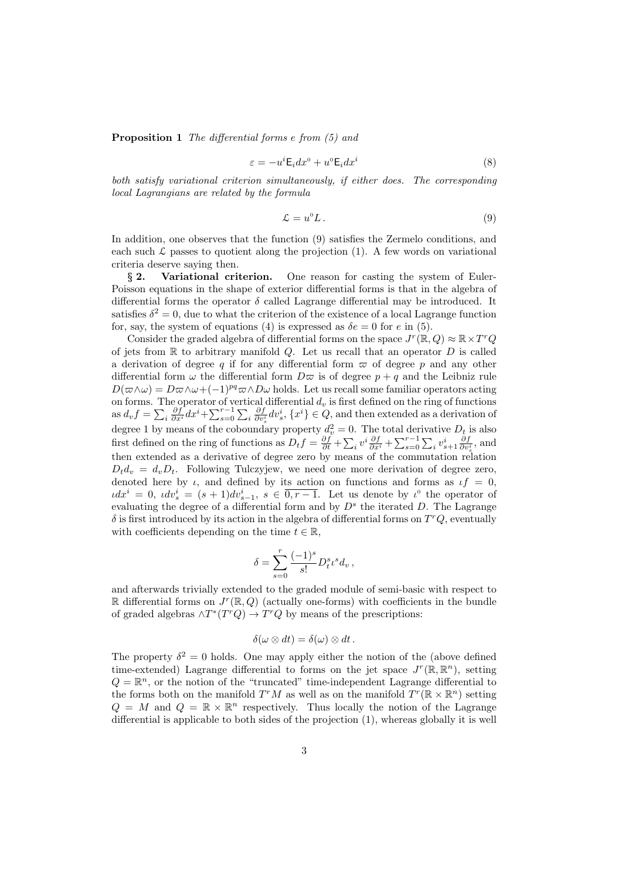Proposition 1 The differential forms e from (5) and

$$
\varepsilon = -u^i \mathsf{E}_i dx^0 + u^0 \mathsf{E}_i dx^i \tag{8}
$$

both satisfy variational criterion simultaneously, if either does. The corresponding local Lagrangians are related by the formula

$$
\mathcal{L} = u^0 L \,. \tag{9}
$$

In addition, one observes that the function (9) satisfies the Zermelo conditions, and each such  $\mathcal L$  passes to quotient along the projection (1). A few words on variational criteria deserve saying then.

§ 2. Variational criterion. One reason for casting the system of Euler-Poisson equations in the shape of exterior differential forms is that in the algebra of differential forms the operator  $\delta$  called Lagrange differential may be introduced. It satisfies  $\delta^2 = 0$ , due to what the criterion of the existence of a local Lagrange function for, say, the system of equations (4) is expressed as  $\delta e = 0$  for e in (5).

Consider the graded algebra of differential forms on the space  $J^r(\mathbb{R}, Q) \approx \mathbb{R} \times T^r Q$ of jets from  $\mathbb R$  to arbitrary manifold Q. Let us recall that an operator D is called a derivation of degree q if for any differential form  $\varpi$  of degree p and any other differential form  $\omega$  the differential form  $D\varpi$  is of degree  $p + q$  and the Leibniz rule  $D(\varpi\wedge\omega) = D\varpi\wedge\omega + (-1)^{pq}\varpi\wedge D\omega$  holds. Let us recall some familiar operators acting on forms. The operator of vertical differential  $d_v$  is first defined on the ring of functions as  $d_v f = \sum_i \frac{\partial f}{\partial x^i} dx^i + \sum_{s=0}^{r-1} \sum_i \frac{\partial f}{\partial v_s^i} dv_s^i$ ,  $\{x^i\} \in Q$ , and then extended as a derivation of degree 1 by means of the coboundary property  $d_v^2 = 0$ . The total derivative  $D_t$  is also first defined on the ring of functions as  $D_t f = \frac{\partial f}{\partial t} + \sum_i v^i \frac{\partial f}{\partial x^i} + \sum_{s=0}^{r-1} \sum_i v^i_{s+1} \frac{\partial f}{\partial v^i_s}$ , and then extended as a derivative of degree zero by means of the commutation relation  $D_t d_v = d_v D_t$ . Following Tulczyjew, we need one more derivation of degree zero, denoted here by  $\iota$ , and defined by its action on functions and forms as  $\iota f = 0$ ,  $\iota dx^i = 0$ ,  $\iota dv^i_s = (s+1)dv^i_{s-1}, s \in \overline{0, r-1}$ . Let us denote by  $\iota^0$  the operator of evaluating the degree of a differential form and by  $D^s$  the iterated D. The Lagrange  $\delta$  is first introduced by its action in the algebra of differential forms on  $T^rQ$ , eventually with coefficients depending on the time  $t \in \mathbb{R}$ ,

$$
\delta = \sum_{s=0}^r \frac{(-1)^s}{s!} D^s_t \iota^s d_v \,,
$$

and afterwards trivially extended to the graded module of semi-basic with respect to R differential forms on  $J^r(\mathbb{R}, Q)$  (actually one-forms) with coefficients in the bundle of graded algebras  $\wedge T^*(T^rQ) \to T^rQ$  by means of the prescriptions:

$$
\delta(\omega \otimes dt) = \delta(\omega) \otimes dt.
$$

The property  $\delta^2 = 0$  holds. One may apply either the notion of the (above defined time-extended) Lagrange differential to forms on the jet space  $J^r(\mathbb{R}, \mathbb{R}^n)$ , setting  $Q = \mathbb{R}^n$ , or the notion of the "truncated" time-independent Lagrange differential to the forms both on the manifold  $T^rM$  as well as on the manifold  $T^r(\mathbb{R} \times \mathbb{R}^n)$  setting  $Q = M$  and  $Q = \mathbb{R} \times \mathbb{R}^n$  respectively. Thus locally the notion of the Lagrange differential is applicable to both sides of the projection (1), whereas globally it is well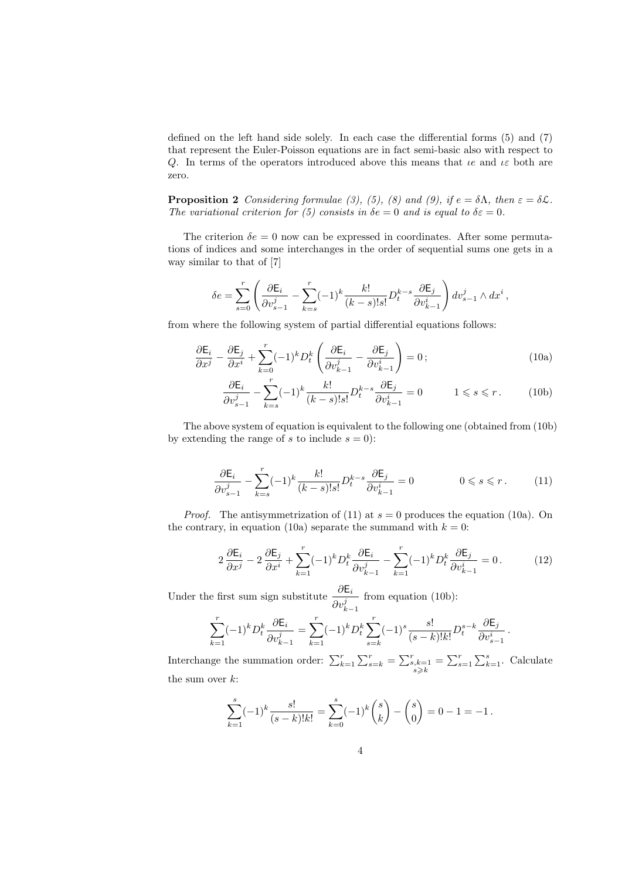defined on the left hand side solely. In each case the differential forms (5) and (7) that represent the Euler-Poisson equations are in fact semi-basic also with respect to Q. In terms of the operators introduced above this means that  $\iota e$  and  $\iota \varepsilon$  both are zero.

**Proposition 2** Considering formulae (3), (5), (8) and (9), if  $e = \delta \Lambda$ , then  $\varepsilon = \delta \mathcal{L}$ . The variational criterion for (5) consists in  $\delta e = 0$  and is equal to  $\delta \varepsilon = 0$ .

The criterion  $\delta e = 0$  now can be expressed in coordinates. After some permutations of indices and some interchanges in the order of sequential sums one gets in a way similar to that of [7]

$$
\delta e = \sum_{s=0}^r \left( \frac{\partial \mathsf{E}_i}{\partial v_{s-1}^j} - \sum_{k=s}^r (-1)^k \frac{k!}{(k-s)!s!} D_t^{k-s} \frac{\partial \mathsf{E}_j}{\partial v_{k-1}^i} \right) dv_{s-1}^j \wedge dx^i,
$$

from where the following system of partial differential equations follows:

$$
\frac{\partial \mathsf{E}_i}{\partial x^j} - \frac{\partial \mathsf{E}_j}{\partial x^i} + \sum_{k=0}^r (-1)^k D_t^k \left( \frac{\partial \mathsf{E}_i}{\partial v_{k-1}^j} - \frac{\partial \mathsf{E}_j}{\partial v_{k-1}^i} \right) = 0 ;\tag{10a}
$$

$$
\frac{\partial \mathsf{E}_i}{\partial v_{s-1}^j} - \sum_{k=s}^r (-1)^k \frac{k!}{(k-s)!s!} D_t^{k-s} \frac{\partial \mathsf{E}_j}{\partial v_{k-1}^i} = 0 \qquad 1 \leq s \leq r. \tag{10b}
$$

The above system of equation is equivalent to the following one (obtained from (10b) by extending the range of s to include  $s = 0$ :

$$
\frac{\partial \mathsf{E}_i}{\partial v_{s-1}^j} - \sum_{k=s}^r (-1)^k \frac{k!}{(k-s)!s!} D_t^{k-s} \frac{\partial \mathsf{E}_j}{\partial v_{k-1}^i} = 0 \qquad 0 \le s \le r. \qquad (11)
$$

*Proof.* The antisymmetrization of (11) at  $s = 0$  produces the equation (10a). On the contrary, in equation (10a) separate the summand with  $k = 0$ :

$$
2\frac{\partial \mathsf{E}_i}{\partial x^j} - 2\frac{\partial \mathsf{E}_j}{\partial x^i} + \sum_{k=1}^r (-1)^k D_t^k \frac{\partial \mathsf{E}_i}{\partial v_{k-1}^j} - \sum_{k=1}^r (-1)^k D_t^k \frac{\partial \mathsf{E}_j}{\partial v_{k-1}^i} = 0.
$$
 (12)

Under the first sum sign substitute  $\frac{\partial \mathsf{E}_i}{\partial \mathsf{E}_i}$  $\partial v_{k-1}^j$ from equation (10b):

$$
\sum_{k=1}^r (-1)^k D_t^k \frac{\partial \mathsf{E}_i}{\partial v_{k-1}^j} = \sum_{k=1}^r (-1)^k D_t^k \sum_{s=k}^r (-1)^s \frac{s!}{(s-k)! k!} D_t^{s-k} \frac{\partial \mathsf{E}_j}{\partial v_{s-1}^i} \, .
$$

Interchange the summation order:  $\sum_{k=1}^{r} \sum_{s=k}^{r} = \sum_{\substack{s,k=1 \ s \geq k}}^{r} = \sum_{s=1}^{r} \sum_{k=1}^{s}$ . Calculate the sum over  $k$ :

$$
\sum_{k=1}^{s} (-1)^k \frac{s!}{(s-k)!k!} = \sum_{k=0}^{s} (-1)^k {s \choose k} - {s \choose 0} = 0 - 1 = -1.
$$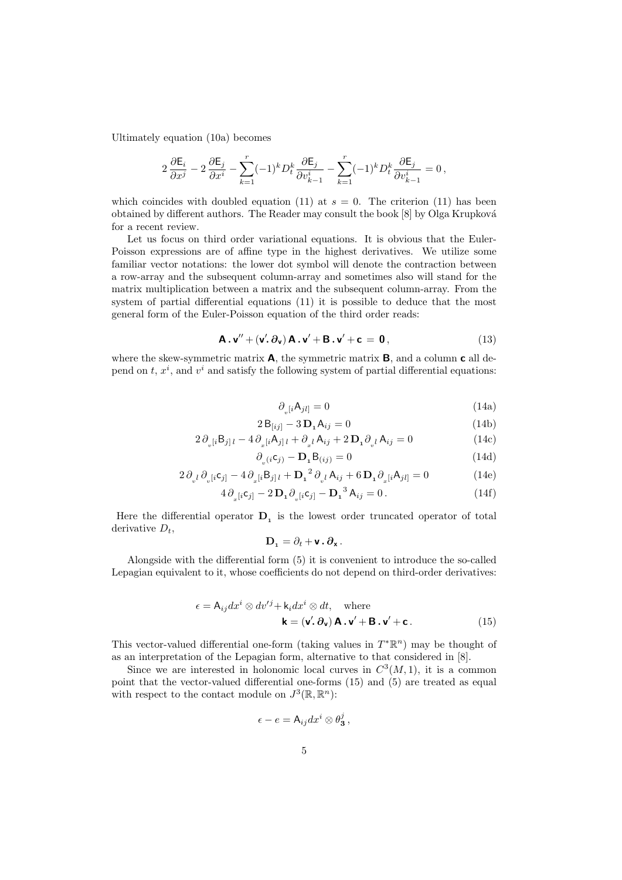Ultimately equation (10a) becomes

$$
2\frac{\partial \mathsf{E}_i}{\partial x^j} - 2\frac{\partial \mathsf{E}_j}{\partial x^i} - \sum_{k=1}^r (-1)^k D_t^k \frac{\partial \mathsf{E}_j}{\partial v_{k-1}^i} - \sum_{k=1}^r (-1)^k D_t^k \frac{\partial \mathsf{E}_j}{\partial v_{k-1}^i} = 0,
$$

which coincides with doubled equation (11) at  $s = 0$ . The criterion (11) has been obtained by different authors. The Reader may consult the book [8] by Olga Krupkov´a for a recent review.

Let us focus on third order variational equations. It is obvious that the Euler-Poisson expressions are of affine type in the highest derivatives. We utilize some familiar vector notations: the lower dot symbol will denote the contraction between a row-array and the subsequent column-array and sometimes also will stand for the matrix multiplication between a matrix and the subsequent column-array. From the system of partial differential equations (11) it is possible to deduce that the most general form of the Euler-Poisson equation of the third order reads:

$$
\mathbf{A} \cdot \mathbf{v}'' + (\mathbf{v}' \cdot \partial_{\mathbf{v}}) \mathbf{A} \cdot \mathbf{v}' + \mathbf{B} \cdot \mathbf{v}' + \mathbf{c} = \mathbf{0}, \qquad (13)
$$

where the skew-symmetric matrix  $\mathbf{A}$ , the symmetric matrix  $\mathbf{B}$ , and a column  $\mathbf{c}$  all depend on  $t, x^i$ , and  $v^i$  and satisfy the following system of partial differential equations:

$$
\partial_{v}[i\mathsf{A}_{jl}] = 0\tag{14a}
$$

$$
2\,\mathsf{B}_{[ij]} - 3\,\mathsf{D}_{1}\mathsf{A}_{ij} = 0\tag{14b}
$$

$$
2\,\partial_{\nu}[i\mathsf{B}_{j]l} - 4\,\partial_{x}[i\mathsf{A}_{j]l} + \partial_{x}l\,\mathsf{A}_{ij} + 2\,\mathbf{D}_{1}\partial_{\nu}l\,\mathsf{A}_{ij} = 0\tag{14c}
$$

$$
\partial_{v}(i\mathbf{c}_{j}) - \mathbf{D}_{1}\mathbf{B}_{(ij)} = 0 \tag{14d}
$$

$$
2\,\partial_{v^l}\partial_{v^{[i}}c_{j]} - 4\,\partial_{x^{[i}}B_{j]l} + \mathbf{D}_1^{\ 2}\,\partial_{v^l}A_{ij} + 6\,\mathbf{D}_1\partial_{x^{[i}}A_{jl]} = 0\tag{14e}
$$

$$
4\,\partial_{x}[i\mathbf{c}_{j}] - 2\,\mathbf{D}_{1}\,\partial_{v}[i\mathbf{c}_{j}] - \mathbf{D}_{1}{}^{3}\,\mathbf{A}_{ij} = 0. \tag{14f}
$$

Here the differential operator  $D_1$  is the lowest order truncated operator of total derivative  $D_t$ ,

$$
\mathbf{D}_{\mathbf{1}}=\partial_{t}+\mathbf{v}\cdot\partial_{\mathbf{x}}.
$$

Alongside with the differential form (5) it is convenient to introduce the so-called Lepagian equivalent to it, whose coefficients do not depend on third-order derivatives:

$$
\epsilon = A_{ij} dx^{i} \otimes dv'^{j} + k_{i} dx^{i} \otimes dt, \text{ where}
$$

$$
\mathbf{k} = (\mathbf{v}'.\,\partial_{\mathbf{v}}) \mathbf{A} \cdot \mathbf{v}' + \mathbf{B} \cdot \mathbf{v}' + \mathbf{c}.
$$
 (15)

This vector-valued differential one-form (taking values in  $T^*\mathbb{R}^n$ ) may be thought of as an interpretation of the Lepagian form, alternative to that considered in [8].

Since we are interested in holonomic local curves in  $C^3(M,1)$ , it is a common point that the vector-valued differential one-forms (15) and (5) are treated as equal with respect to the contact module on  $J^3(\mathbb{R}, \mathbb{R}^n)$ :

$$
\epsilon - e = \mathsf{A}_{ij} dx^i \otimes \theta_{\mathbf{3}}^j ,
$$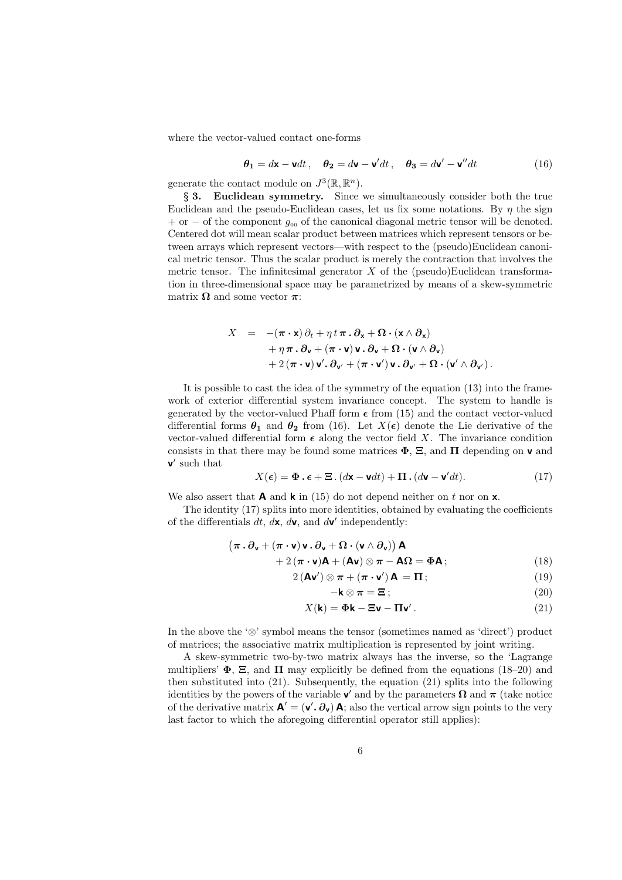where the vector-valued contact one-forms

$$
\theta_1 = d\mathbf{x} - \mathbf{v}dt, \quad \theta_2 = d\mathbf{v} - \mathbf{v}'dt, \quad \theta_3 = d\mathbf{v}' - \mathbf{v}''dt
$$
 (16)

generate the contact module on  $J^3(\mathbb{R}, \mathbb{R}^n)$ .

§ 3. Euclidean symmetry. Since we simultaneously consider both the true Euclidean and the pseudo-Euclidean cases, let us fix some notations. By  $\eta$  the sign  $+$  or  $-$  of the component  $g_{00}$  of the canonical diagonal metric tensor will be denoted. Centered dot will mean scalar product between matrices which represent tensors or between arrays which represent vectors—with respect to the (pseudo)Euclidean canonical metric tensor. Thus the scalar product is merely the contraction that involves the metric tensor. The infinitesimal generator  $X$  of the (pseudo)Euclidean transformation in three-dimensional space may be parametrized by means of a skew-symmetric matrix  $\Omega$  and some vector  $\pi$ :

$$
X = -(\pi \cdot \mathbf{x}) \partial_t + \eta t \pi \cdot \partial_{\mathbf{x}} + \Omega \cdot (\mathbf{x} \wedge \partial_{\mathbf{x}})
$$
  
+  $\eta \pi \cdot \partial_{\mathbf{v}} + (\pi \cdot \mathbf{v}) \mathbf{v} \cdot \partial_{\mathbf{v}} + \Omega \cdot (\mathbf{v} \wedge \partial_{\mathbf{v}})$   
+  $2 (\pi \cdot \mathbf{v}) \mathbf{v}' \cdot \partial_{\mathbf{v}'} + (\pi \cdot \mathbf{v}') \mathbf{v} \cdot \partial_{\mathbf{v}'} + \Omega \cdot (\mathbf{v}' \wedge \partial_{\mathbf{v}'})$ .

It is possible to cast the idea of the symmetry of the equation (13) into the framework of exterior differential system invariance concept. The system to handle is generated by the vector-valued Phaff form  $\epsilon$  from (15) and the contact vector-valued differential forms  $\theta_1$  and  $\theta_2$  from (16). Let  $X(\epsilon)$  denote the Lie derivative of the vector-valued differential form  $\epsilon$  along the vector field X. The invariance condition consists in that there may be found some matrices  $\Phi$ ,  $\Xi$ , and  $\Pi$  depending on **v** and  $\mathbf{v}'$  such that

$$
X(\epsilon) = \Phi \cdot \epsilon + \Xi \cdot (d\mathbf{x} - \mathbf{v}dt) + \Pi \cdot (d\mathbf{v} - \mathbf{v}'dt). \tag{17}
$$

We also assert that **A** and **k** in (15) do not depend neither on t nor on **x**.

The identity (17) splits into more identities, obtained by evaluating the coefficients of the differentials  $dt$ ,  $d\mathbf{x}$ ,  $d\mathbf{v}$ , and  $d\mathbf{v}'$  independently:

$$
(\boldsymbol{\pi} \cdot \partial_{\mathbf{v}} + (\boldsymbol{\pi} \cdot \mathbf{v}) \mathbf{v} \cdot \partial_{\mathbf{v}} + \boldsymbol{\Omega} \cdot (\mathbf{v} \wedge \partial_{\mathbf{v}})) \mathbf{A} + 2 (\boldsymbol{\pi} \cdot \mathbf{v}) \mathbf{A} + (\mathbf{A} \mathbf{v}) \otimes \boldsymbol{\pi} - \mathbf{A} \boldsymbol{\Omega} = \boldsymbol{\Phi} \mathbf{A};
$$
 (18)

$$
2\left(\mathbf{A}\mathbf{v}'\right)\otimes\boldsymbol{\pi}+\left(\boldsymbol{\pi}\cdot\mathbf{v}'\right)\mathbf{A}=\boldsymbol{\Pi};\tag{19}
$$

$$
-\mathbf{k} \otimes \boldsymbol{\pi} = \boldsymbol{\Xi} ; \tag{20}
$$

$$
X(\mathbf{k}) = \Phi \mathbf{k} - \Xi \mathbf{v} - \Pi \mathbf{v}'.
$$
 (21)

In the above the '⊗' symbol means the tensor (sometimes named as 'direct') product of matrices; the associative matrix multiplication is represented by joint writing.

A skew-symmetric two-by-two matrix always has the inverse, so the 'Lagrange multipliers'  $\Phi$ ,  $\Xi$ , and  $\Pi$  may explicitly be defined from the equations (18–20) and then substituted into (21). Subsequently, the equation (21) splits into the following identities by the powers of the variable **v**' and by the parameters  $\Omega$  and  $\pi$  (take notice of the derivative matrix  $\mathbf{A}' = (\mathbf{v}', \partial_{\mathbf{v}}) \mathbf{A}$ ; also the vertical arrow sign points to the very last factor to which the aforegoing differential operator still applies):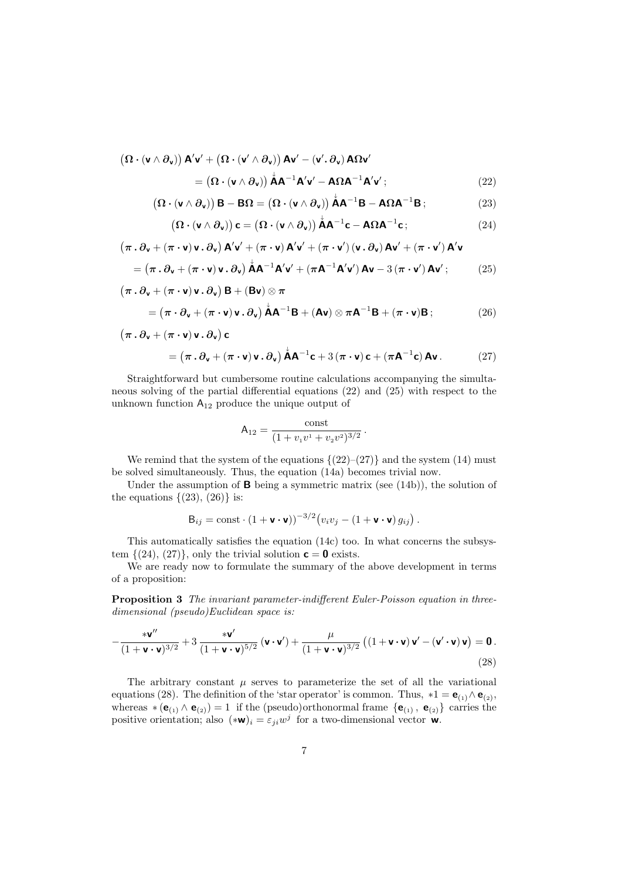$$
\left(\mathbf{\Omega} \cdot (\mathbf{v} \wedge \partial_{\mathbf{v}})\right) \mathbf{A}' \mathbf{v}' + \left(\mathbf{\Omega} \cdot (\mathbf{v}' \wedge \partial_{\mathbf{v}})\right) \mathbf{A} \mathbf{v}' - (\mathbf{v}'.\partial_{\mathbf{v}}) \mathbf{A} \mathbf{\Omega} \mathbf{v}'
$$

$$
= \left(\mathbf{\Omega} \cdot (\mathbf{v} \wedge \partial_{\mathbf{v}})\right) \mathbf{A} \mathbf{A}^{-1} \mathbf{A}' \mathbf{v}' - \mathbf{A} \mathbf{\Omega} \mathbf{A}^{-1} \mathbf{A}' \mathbf{v}'; \tag{22}
$$

$$
\left(\mathbf{\Omega} \cdot (\mathbf{v} \wedge \partial_{\mathbf{v}})\right) \mathbf{B} - \mathbf{B} \mathbf{\Omega} = \left(\mathbf{\Omega} \cdot (\mathbf{v} \wedge \partial_{\mathbf{v}})\right) \mathring{\mathbf{A}} \mathbf{A}^{-1} \mathbf{B} - \mathbf{A} \mathbf{\Omega} \mathbf{A}^{-1} \mathbf{B};\tag{23}
$$

$$
\left(\mathbf{\Omega}\cdot(\mathbf{v}\wedge\partial_{\mathbf{v}})\right)\mathbf{c}=\left(\mathbf{\Omega}\cdot(\mathbf{v}\wedge\partial_{\mathbf{v}})\right)\mathbf{\dot{A}}\mathbf{A}^{-1}\mathbf{c}-\mathbf{A}\Omega\mathbf{A}^{-1}\mathbf{c};
$$
\n(24)

$$
(\pi \cdot \partial_v + (\pi \cdot v) v \cdot \partial_v) A'v' + (\pi \cdot v) A'v' + (\pi \cdot v') (v \cdot \partial_v) Av' + (\pi \cdot v') A'v
$$
  
= (\pi \cdot \partial\_v + (\pi \cdot v) v \cdot \partial\_v) A A^{-1}A'v' + (\pi A^{-1}A'v') Av - 3 (\pi \cdot v') Av'; (25)

$$
(\pi \cdot \partial_{\mathbf{v}} + (\pi \cdot \mathbf{v}) \mathbf{v} \cdot \partial_{\mathbf{v}}) \mathbf{B} + (\mathbf{B}\mathbf{v}) \otimes \pi
$$
  
=  $(\pi \cdot \partial_{\mathbf{v}} + (\pi \cdot \mathbf{v}) \mathbf{v} \cdot \partial_{\mathbf{v}}) \mathbf{A} \mathbf{A}^{-1} \mathbf{B} + (\mathbf{A}\mathbf{v}) \otimes \pi \mathbf{A}^{-1} \mathbf{B} + (\pi \cdot \mathbf{v}) \mathbf{B};$  (26)

$$
(\pi \cdot \partial_{\mathbf{v}} + (\pi \cdot \mathbf{v}) \mathbf{v} \cdot \partial_{\mathbf{v}}) \mathbf{c}
$$
  
= (\pi \cdot \partial\_{\mathbf{v}} + (\pi \cdot \mathbf{v}) \mathbf{v} \cdot \partial\_{\mathbf{v}}) \mathbf{A} \mathbf{A}^{-1} \mathbf{c} + 3 (\pi \cdot \mathbf{v}) \mathbf{c} + (\pi \mathbf{A}^{-1} \mathbf{c}) \mathbf{A} \mathbf{v} . (27)

Straightforward but cumbersome routine calculations accompanying the simultaneous solving of the partial differential equations (22) and (25) with respect to the unknown function  $\mathsf{A}_{12}$  produce the unique output of

$$
A_{12} = \frac{\text{const}}{(1 + v_1 v^1 + v_2 v^2)^{3/2}}.
$$

We remind that the system of the equations  $\{(22)-(27)\}\)$  and the system (14) must be solved simultaneously. Thus, the equation (14a) becomes trivial now.

Under the assumption of  $\bf{B}$  being a symmetric matrix (see (14b)), the solution of the equations  $\{(23), (26)\}\;$  is:

$$
\mathsf{B}_{ij} = \text{const} \cdot (1 + \mathsf{v} \cdot \mathsf{v}))^{-3/2} \big( v_i v_j - (1 + \mathsf{v} \cdot \mathsf{v}) g_{ij} \big) .
$$

This automatically satisfies the equation (14c) too. In what concerns the subsystem  $\{(24), (27)\}\$ , only the trivial solution  $\mathbf{c} = \mathbf{0}$  exists.

We are ready now to formulate the summary of the above development in terms of a proposition:

Proposition 3 The invariant parameter-indifferent Euler-Poisson equation in threedimensional (pseudo)Euclidean space is:

$$
-\frac{\mathbf{v}\mathbf{v}''}{(1+\mathbf{v}\cdot\mathbf{v})^{3/2}}+3\,\frac{\mathbf{v}\mathbf{v}'}{(1+\mathbf{v}\cdot\mathbf{v})^{5/2}}\left(\mathbf{v}\cdot\mathbf{v}'\right)+\frac{\mu}{(1+\mathbf{v}\cdot\mathbf{v})^{3/2}}\left((1+\mathbf{v}\cdot\mathbf{v})\mathbf{v}'-(\mathbf{v}'\cdot\mathbf{v})\mathbf{v}\right)=\mathbf{0}.
$$
\n(28)

The arbitrary constant  $\mu$  serves to parameterize the set of all the variational equations (28). The definition of the 'star operator' is common. Thus,  $*1 = e_{(1)} \wedge e_{(2)}$ , whereas  $*(\mathbf{e}_{(1)} \wedge \mathbf{e}_{(2)}) = 1$  if the (pseudo)orthonormal frame  ${\{\mathbf{e}_{(1)}, \mathbf{e}_{(2)}\}}$  carries the positive orientation; also  $(*\mathbf{w})_i = \varepsilon_{ji} w^j$  for a two-dimensional vector  $\mathbf{w}$ .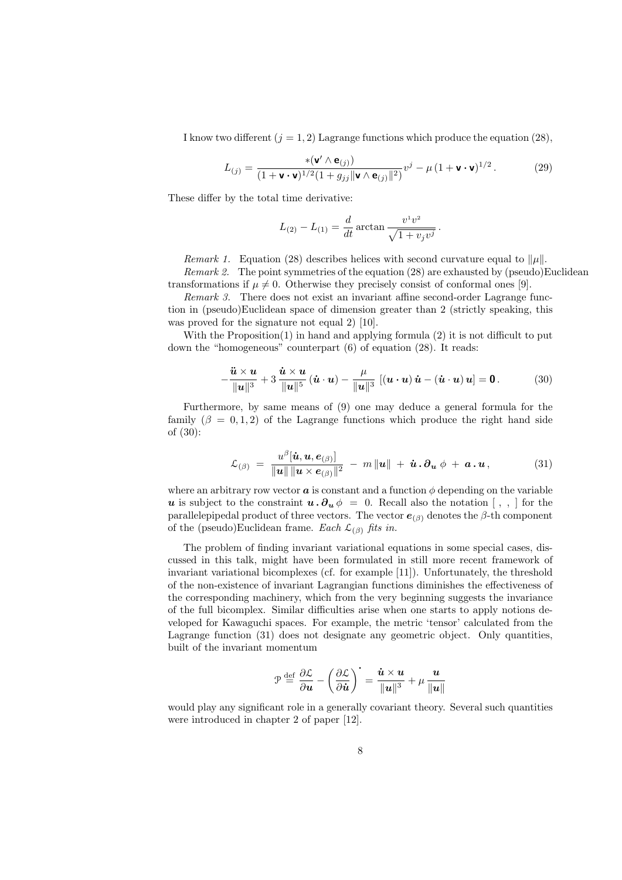I know two different  $(j = 1, 2)$  Lagrange functions which produce the equation (28),

$$
L_{(j)} = \frac{\ast(\mathbf{v}' \wedge \mathbf{e}_{(j)})}{(1 + \mathbf{v} \cdot \mathbf{v})^{1/2} (1 + g_{jj} \|\mathbf{v} \wedge \mathbf{e}_{(j)}\|^2)} v^j - \mu (1 + \mathbf{v} \cdot \mathbf{v})^{1/2}.
$$
 (29)

These differ by the total time derivative:

$$
L_{(2)} - L_{(1)} = \frac{d}{dt} \arctan \frac{v^1 v^2}{\sqrt{1 + v_j v^j}}.
$$

Remark 1. Equation (28) describes helices with second curvature equal to  $\|\mu\|$ . Remark 2. The point symmetries of the equation  $(28)$  are exhausted by (pseudo)Euclidean transformations if  $\mu \neq 0$ . Otherwise they precisely consist of conformal ones [9].

Remark 3. There does not exist an invariant affine second-order Lagrange function in (pseudo)Euclidean space of dimension greater than 2 (strictly speaking, this was proved for the signature not equal 2) [10].

With the Proposition(1) in hand and applying formula (2) it is not difficult to put down the "homogeneous" counterpart (6) of equation (28). It reads:

$$
-\frac{\ddot{\boldsymbol{u}} \times \boldsymbol{u}}{\|\boldsymbol{u}\|^3} + 3\frac{\dot{\boldsymbol{u}} \times \boldsymbol{u}}{\|\boldsymbol{u}\|^5}(\dot{\boldsymbol{u}} \cdot \boldsymbol{u}) - \frac{\mu}{\|\boldsymbol{u}\|^3} [(\boldsymbol{u} \cdot \boldsymbol{u}) \dot{\boldsymbol{u}} - (\dot{\boldsymbol{u}} \cdot \boldsymbol{u}) \boldsymbol{u}] = \boldsymbol{0}.
$$
 (30)

Furthermore, by same means of (9) one may deduce a general formula for the family  $(\beta = 0, 1, 2)$  of the Lagrange functions which produce the right hand side of (30):

$$
\mathcal{L}_{(\beta)} = \frac{u^{\beta}[\dot{\boldsymbol{u}}, \boldsymbol{u}, \boldsymbol{e}_{(\beta)}]}{\|\boldsymbol{u}\| \|\boldsymbol{u} \times \boldsymbol{e}_{(\beta)}\|^2} - m \|\boldsymbol{u}\| + \dot{\boldsymbol{u}} \cdot \boldsymbol{\partial}_{\boldsymbol{u}} \phi + \boldsymbol{a} \cdot \boldsymbol{u}, \qquad (31)
$$

where an arbitrary row vector  $\boldsymbol{a}$  is constant and a function  $\phi$  depending on the variable u is subject to the constraint  $u \cdot \partial_u \phi = 0$ . Recall also the notation [,,] for the parallelepipedal product of three vectors. The vector  $e_{(\beta)}$  denotes the  $\beta$ -th component of the (pseudo)Euclidean frame. Each  $\mathcal{L}_{(\beta)}$  fits in.

The problem of finding invariant variational equations in some special cases, discussed in this talk, might have been formulated in still more recent framework of invariant variational bicomplexes (cf. for example [11]). Unfortunately, the threshold of the non-existence of invariant Lagrangian functions diminishes the effectiveness of the corresponding machinery, which from the very beginning suggests the invariance of the full bicomplex. Similar difficulties arise when one starts to apply notions developed for Kawaguchi spaces. For example, the metric 'tensor' calculated from the Lagrange function (31) does not designate any geometric object. Only quantities, built of the invariant momentum

$$
\mathcal{P} \stackrel{\text{def}}{=} \frac{\partial \mathcal{L}}{\partial \boldsymbol{u}} - \left(\frac{\partial \mathcal{L}}{\partial \dot{\boldsymbol{u}}}\right)^{\text{-}} = \frac{\dot{\boldsymbol{u}} \times \boldsymbol{u}}{\|\boldsymbol{u}\|^3} + \mu \frac{\boldsymbol{u}}{\|\boldsymbol{u}\|}
$$

would play any significant role in a generally covariant theory. Several such quantities were introduced in chapter 2 of paper [12].